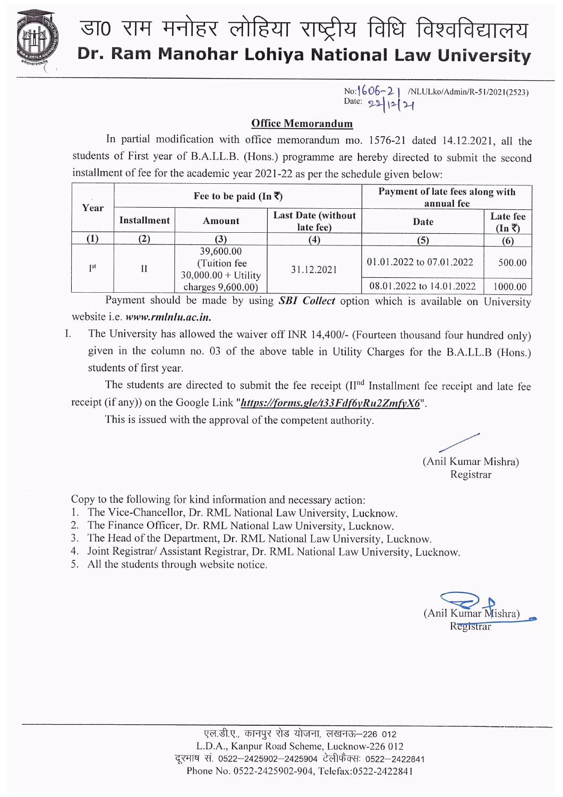

## डा0 राम मनोहर लोहिया राष्ट्रीय विधि विश्वविद्यालय Dr. Ram Manohar Lohiya National Law University

No:  $606-2$  | /NLULko/Admin/R-51/2021(2523) Date: 22/12/21

## **Office Memorandum**

In partial modification with office memorandum mo. 1576-21 dated 14.12.2021, all the students of First year of B.A.LL.B. (Hons.) programme are hereby directed to submit the second installment of fee for the academic year 2021-22 as per the schedule given below:

| Year       | Fee to be paid (In $\overline{\zeta}$ ) |                                                    |                                         | Payment of late fees along with<br>annual fee |                                   |
|------------|-----------------------------------------|----------------------------------------------------|-----------------------------------------|-----------------------------------------------|-----------------------------------|
|            | Installment                             | Amount                                             | <b>Last Date (without)</b><br>late fee) | Date                                          | Late fee<br>$(\text{In} \bar{z})$ |
|            | (2)                                     | 3)                                                 |                                         |                                               | (6)                               |
| <b>TSt</b> | Н                                       | 39,600.00<br>(Tuition fee<br>$30,000.00 + Utility$ | 31.12.2021                              | 01.01.2022 to 07.01.2022                      | 500.00                            |
|            |                                         | charges 9,600.00)                                  |                                         | 08.01.2022 to 14.01.2022                      | 1000.00                           |

Payment should be made by using SBI Collect option which is available on University website i.e. www.rmlnlu.ac.in.

 $\mathbf{I}$ . The University has allowed the waiver off INR 14,400/- (Fourteen thousand four hundred only) given in the column no. 03 of the above table in Utility Charges for the B.A.LL.B (Hons.) students of first year.

The students are directed to submit the fee receipt (II<sup>nd</sup> Installment fee receipt and late fee receipt (if any)) on the Google Link "https://forms.gle/t33Fdf6yRu2ZmfyX6".

This is issued with the approval of the competent authority.

(Anil Kumar Mishra)

Registrar

Copy to the following for kind information and necessary action:

- 1. The Vice-Chancellor, Dr. RML National Law University, Lucknow.
- 2. The Finance Officer, Dr. RML National Law University, Lucknow.
- 3. The Head of the Department, Dr. RML National Law University, Lucknow.
- 4. Joint Registrar/ Assistant Registrar, Dr. RML National Law University, Lucknow.
- 5. All the students through website notice.

(Anil Kumar Mishra) Registrar